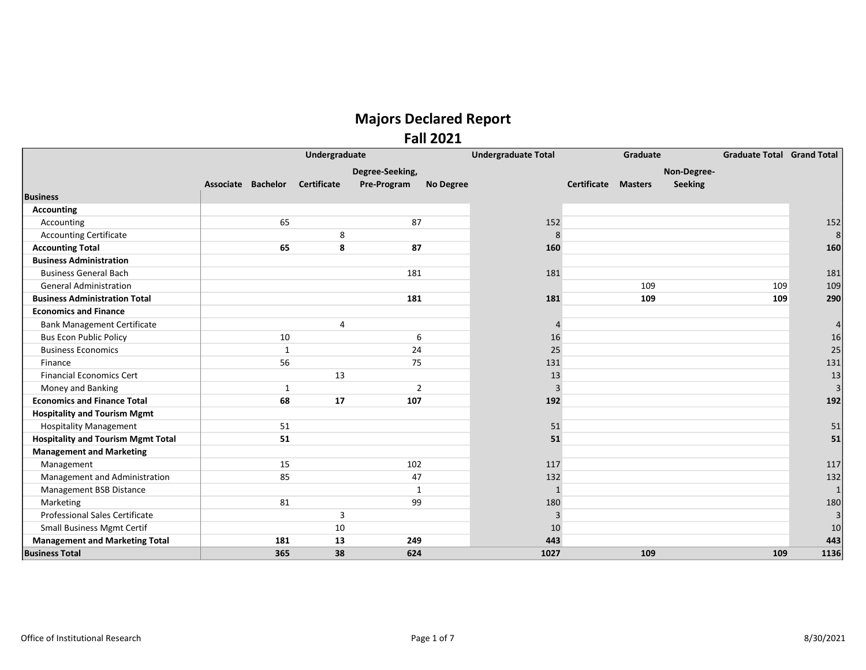|                                           | Undergraduate      |              |                |                 |                  | <b>Undergraduate Total</b> | Graduate                   |     |             | <b>Graduate Total Grand Total</b> |      |
|-------------------------------------------|--------------------|--------------|----------------|-----------------|------------------|----------------------------|----------------------------|-----|-------------|-----------------------------------|------|
|                                           |                    |              |                | Degree-Seeking, |                  |                            |                            |     | Non-Degree- |                                   |      |
|                                           | Associate Bachelor |              | Certificate    | Pre-Program     | <b>No Degree</b> |                            | <b>Certificate Masters</b> |     | Seeking     |                                   |      |
| <b>Business</b>                           |                    |              |                |                 |                  |                            |                            |     |             |                                   |      |
| <b>Accounting</b>                         |                    |              |                |                 |                  |                            |                            |     |             |                                   |      |
| Accounting                                |                    | 65           |                | 87              |                  | 152                        |                            |     |             |                                   | 152  |
| <b>Accounting Certificate</b>             |                    |              | 8              |                 |                  | 8                          |                            |     |             |                                   |      |
| <b>Accounting Total</b>                   |                    | 65           | 8              | 87              |                  | 160                        |                            |     |             |                                   | 160  |
| <b>Business Administration</b>            |                    |              |                |                 |                  |                            |                            |     |             |                                   |      |
| <b>Business General Bach</b>              |                    |              |                | 181             |                  | 181                        |                            |     |             |                                   | 181  |
| <b>General Administration</b>             |                    |              |                |                 |                  |                            |                            | 109 |             | 109                               | 109  |
| <b>Business Administration Total</b>      |                    |              |                | 181             |                  | 181                        |                            | 109 |             | 109                               | 290  |
| <b>Economics and Finance</b>              |                    |              |                |                 |                  |                            |                            |     |             |                                   |      |
| <b>Bank Management Certificate</b>        |                    |              | 4              |                 |                  | 4                          |                            |     |             |                                   |      |
| <b>Bus Econ Public Policy</b>             |                    | 10           |                | 6               |                  | 16                         |                            |     |             |                                   | 16   |
| <b>Business Economics</b>                 |                    | $\mathbf{1}$ |                | 24              |                  | 25                         |                            |     |             |                                   | 25   |
| Finance                                   |                    | 56           |                | 75              |                  | 131                        |                            |     |             |                                   | 131  |
| <b>Financial Economics Cert</b>           |                    |              | 13             |                 |                  | 13                         |                            |     |             |                                   | 13   |
| Money and Banking                         |                    | 1            |                | $\overline{2}$  |                  | 3                          |                            |     |             |                                   |      |
| <b>Economics and Finance Total</b>        |                    | 68           | 17             | 107             |                  | 192                        |                            |     |             |                                   | 192  |
| <b>Hospitality and Tourism Mgmt</b>       |                    |              |                |                 |                  |                            |                            |     |             |                                   |      |
| <b>Hospitality Management</b>             |                    | 51           |                |                 |                  | 51                         |                            |     |             |                                   | 51   |
| <b>Hospitality and Tourism Mgmt Total</b> |                    | 51           |                |                 |                  | 51                         |                            |     |             |                                   | 51   |
| <b>Management and Marketing</b>           |                    |              |                |                 |                  |                            |                            |     |             |                                   |      |
| Management                                |                    | 15           |                | 102             |                  | 117                        |                            |     |             |                                   | 117  |
| Management and Administration             |                    | 85           |                | 47              |                  | 132                        |                            |     |             |                                   | 132  |
| Management BSB Distance                   |                    |              |                | $\mathbf{1}$    |                  | $\mathbf{1}$               |                            |     |             |                                   |      |
| Marketing                                 |                    | 81           |                | 99              |                  | 180                        |                            |     |             |                                   | 180  |
| Professional Sales Certificate            |                    |              | $\overline{3}$ |                 |                  | 3                          |                            |     |             |                                   |      |
| <b>Small Business Mgmt Certif</b>         |                    |              | 10             |                 |                  | 10                         |                            |     |             |                                   | 10   |
| <b>Management and Marketing Total</b>     |                    | 181          | 13             | 249             |                  | 443                        |                            |     |             |                                   | 443  |
| <b>Business Total</b>                     |                    | 365          | 38             | 624             |                  | 1027                       |                            | 109 |             | 109                               | 1136 |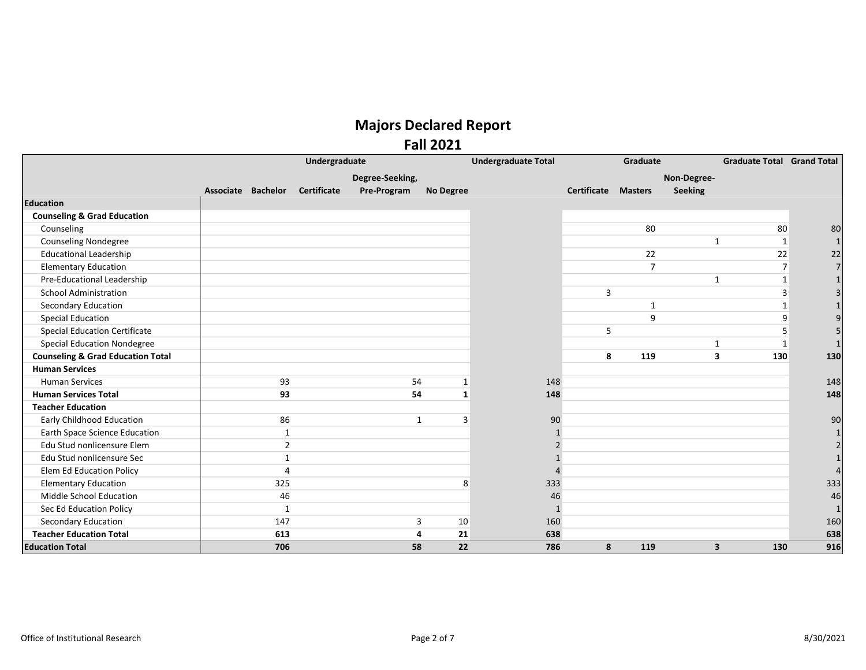#### Fall 2021

|                                              | Undergraduate      |                |                    |                 |                  | <b>Undergraduate Total</b> | Graduate                   |                |                         | <b>Graduate Total Grand Total</b> |     |
|----------------------------------------------|--------------------|----------------|--------------------|-----------------|------------------|----------------------------|----------------------------|----------------|-------------------------|-----------------------------------|-----|
|                                              |                    |                |                    | Degree-Seeking, |                  |                            |                            |                | Non-Degree-             |                                   |     |
|                                              | Associate Bachelor |                | <b>Certificate</b> | Pre-Program     | <b>No Degree</b> |                            | <b>Certificate Masters</b> |                | Seeking                 |                                   |     |
| <b>Education</b>                             |                    |                |                    |                 |                  |                            |                            |                |                         |                                   |     |
| <b>Counseling &amp; Grad Education</b>       |                    |                |                    |                 |                  |                            |                            |                |                         |                                   |     |
| Counseling                                   |                    |                |                    |                 |                  |                            |                            | 80             |                         | 80                                | 80  |
| <b>Counseling Nondegree</b>                  |                    |                |                    |                 |                  |                            |                            |                | $\mathbf{1}$            | 1                                 |     |
| <b>Educational Leadership</b>                |                    |                |                    |                 |                  |                            |                            | 22             |                         | 22                                | 22  |
| <b>Elementary Education</b>                  |                    |                |                    |                 |                  |                            |                            | $\overline{7}$ |                         | $\overline{7}$                    |     |
| Pre-Educational Leadership                   |                    |                |                    |                 |                  |                            |                            |                | $\mathbf{1}$            | $\mathbf{1}$                      |     |
| <b>School Administration</b>                 |                    |                |                    |                 |                  |                            | 3                          |                |                         | 3                                 |     |
| Secondary Education                          |                    |                |                    |                 |                  |                            |                            | 1              |                         |                                   |     |
| <b>Special Education</b>                     |                    |                |                    |                 |                  |                            |                            | $\mathbf{q}$   |                         | 9                                 |     |
| <b>Special Education Certificate</b>         |                    |                |                    |                 |                  |                            | 5                          |                |                         |                                   |     |
| <b>Special Education Nondegree</b>           |                    |                |                    |                 |                  |                            |                            |                | $\mathbf{1}$            | 1                                 |     |
| <b>Counseling &amp; Grad Education Total</b> |                    |                |                    |                 |                  |                            | 8                          | 119            | 3                       | 130                               | 130 |
| <b>Human Services</b>                        |                    |                |                    |                 |                  |                            |                            |                |                         |                                   |     |
| <b>Human Services</b>                        |                    | 93             |                    | 54              | 1                | 148                        |                            |                |                         |                                   | 148 |
| <b>Human Services Total</b>                  |                    | 93             |                    | 54              | $\mathbf{1}$     | 148                        |                            |                |                         |                                   | 148 |
| <b>Teacher Education</b>                     |                    |                |                    |                 |                  |                            |                            |                |                         |                                   |     |
| <b>Early Childhood Education</b>             |                    | 86             |                    | $\mathbf{1}$    | 3                | 90                         |                            |                |                         |                                   | 90  |
| Earth Space Science Education                |                    | $\mathbf{1}$   |                    |                 |                  |                            |                            |                |                         |                                   |     |
| Edu Stud nonlicensure Elem                   |                    | $\overline{2}$ |                    |                 |                  |                            |                            |                |                         |                                   |     |
| Edu Stud nonlicensure Sec                    |                    | $\mathbf{1}$   |                    |                 |                  |                            |                            |                |                         |                                   |     |
| <b>Elem Ed Education Policy</b>              |                    | 4              |                    |                 |                  |                            |                            |                |                         |                                   |     |
| <b>Elementary Education</b>                  |                    | 325            |                    |                 | 8                | 333                        |                            |                |                         |                                   | 333 |
| Middle School Education                      |                    | 46             |                    |                 |                  | 46                         |                            |                |                         |                                   | 46  |
| Sec Ed Education Policy                      |                    | $\mathbf{1}$   |                    |                 |                  | $\mathbf{1}$               |                            |                |                         |                                   |     |
| Secondary Education                          |                    | 147            |                    |                 | 10<br>3          | 160                        |                            |                |                         |                                   | 160 |
| <b>Teacher Education Total</b>               |                    | 613            |                    | 4               | 21               | 638                        |                            |                |                         |                                   | 638 |
| <b>Education Total</b>                       |                    | 706            |                    | 58              | 22               | 786                        | 8                          | 119            | $\overline{\mathbf{3}}$ | 130                               | 916 |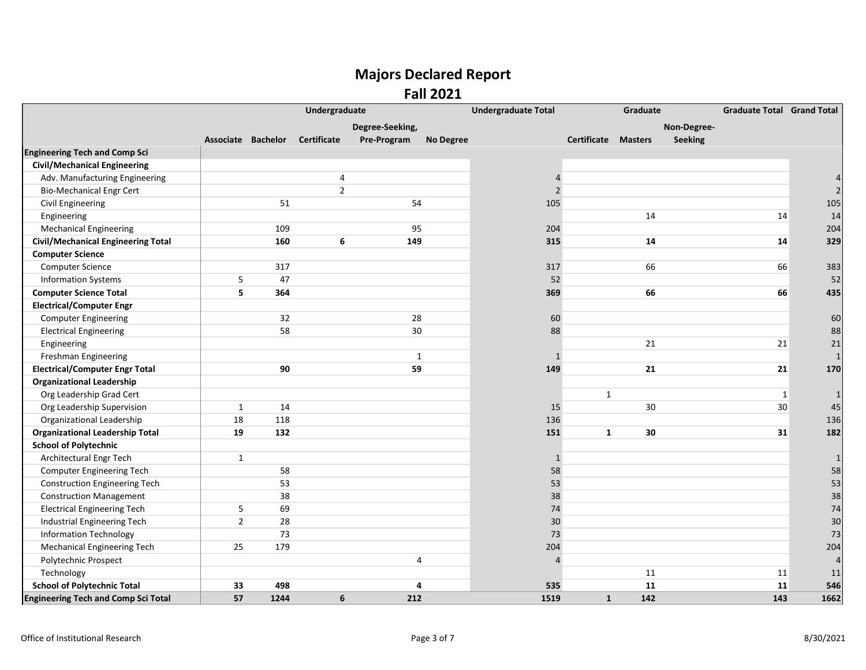Fall 2021

|                                            | Undergraduate  |                    |                    |                 |                  | <b>Undergraduate Total</b> |                            | Graduate |             | <b>Graduate Total Grand Total</b> |      |
|--------------------------------------------|----------------|--------------------|--------------------|-----------------|------------------|----------------------------|----------------------------|----------|-------------|-----------------------------------|------|
|                                            |                |                    |                    | Degree-Seeking, |                  |                            |                            |          | Non-Degree- |                                   |      |
|                                            |                | Associate Bachelor | <b>Certificate</b> | Pre-Program     | <b>No Degree</b> |                            | <b>Certificate Masters</b> |          | Seeking     |                                   |      |
| <b>Engineering Tech and Comp Sci</b>       |                |                    |                    |                 |                  |                            |                            |          |             |                                   |      |
| <b>Civil/Mechanical Engineering</b>        |                |                    |                    |                 |                  |                            |                            |          |             |                                   |      |
| Adv. Manufacturing Engineering             |                |                    | 4                  |                 |                  | 4                          |                            |          |             |                                   |      |
| <b>Bio-Mechanical Engr Cert</b>            |                |                    | $\overline{2}$     |                 |                  | $\mathcal{P}$              |                            |          |             |                                   |      |
| Civil Engineering                          |                | 51                 |                    | 54              |                  | 105                        |                            |          |             |                                   | 105  |
| Engineering                                |                |                    |                    |                 |                  |                            |                            | 14       |             | 14                                | 14   |
| <b>Mechanical Engineering</b>              |                | 109                |                    | 95              |                  | 204                        |                            |          |             |                                   | 204  |
| <b>Civil/Mechanical Engineering Total</b>  |                | 160                | 6                  | 149             |                  | 315                        |                            | 14       |             | 14                                | 329  |
| <b>Computer Science</b>                    |                |                    |                    |                 |                  |                            |                            |          |             |                                   |      |
| Computer Science                           |                | 317                |                    |                 |                  | 317                        |                            | 66       |             | 66                                | 383  |
| <b>Information Systems</b>                 | 5              | 47                 |                    |                 |                  | 52                         |                            |          |             |                                   | 52   |
| <b>Computer Science Total</b>              | 5              | 364                |                    |                 |                  | 369                        |                            | 66       |             | 66                                | 435  |
| <b>Electrical/Computer Engr</b>            |                |                    |                    |                 |                  |                            |                            |          |             |                                   |      |
| <b>Computer Engineering</b>                |                | 32                 |                    | 28              |                  | 60                         |                            |          |             |                                   | 60   |
| <b>Electrical Engineering</b>              |                | 58                 |                    | 30              |                  | 88                         |                            |          |             |                                   | 88   |
| Engineering                                |                |                    |                    |                 |                  |                            |                            | 21       |             | 21                                | 21   |
| Freshman Engineering                       |                |                    |                    | $\mathbf{1}$    |                  | $\mathbf{1}$               |                            |          |             |                                   |      |
| <b>Electrical/Computer Engr Total</b>      |                | 90                 |                    | 59              |                  | 149                        |                            | 21       |             | 21                                | 170  |
| <b>Organizational Leadership</b>           |                |                    |                    |                 |                  |                            |                            |          |             |                                   |      |
| Org Leadership Grad Cert                   |                |                    |                    |                 |                  |                            | $\mathbf{1}$               |          |             | 1                                 |      |
| Org Leadership Supervision                 | $\mathbf{1}$   | 14                 |                    |                 |                  | 15                         |                            | 30       |             | 30                                | 45   |
| Organizational Leadership                  | 18             | 118                |                    |                 |                  | 136                        |                            |          |             |                                   | 136  |
| <b>Organizational Leadership Total</b>     | 19             | 132                |                    |                 |                  | 151                        | $\mathbf{1}$               | 30       |             | 31                                | 182  |
| <b>School of Polytechnic</b>               |                |                    |                    |                 |                  |                            |                            |          |             |                                   |      |
| Architectural Engr Tech                    | $\mathbf{1}$   |                    |                    |                 |                  | $\mathbf{1}$               |                            |          |             |                                   |      |
| <b>Computer Engineering Tech</b>           |                | 58                 |                    |                 |                  | 58                         |                            |          |             |                                   | 58   |
| <b>Construction Engineering Tech</b>       |                | 53                 |                    |                 |                  | 53                         |                            |          |             |                                   | 53   |
| <b>Construction Management</b>             |                | 38                 |                    |                 |                  | 38                         |                            |          |             |                                   | 38   |
| <b>Electrical Engineering Tech</b>         | 5              | 69                 |                    |                 |                  | 74                         |                            |          |             |                                   | 74   |
| Industrial Engineering Tech                | $\overline{2}$ | 28                 |                    |                 |                  | 30                         |                            |          |             |                                   | 30   |
| <b>Information Technology</b>              |                | 73                 |                    |                 |                  | 73                         |                            |          |             |                                   | 73   |
| <b>Mechanical Engineering Tech</b>         | 25             | 179                |                    |                 |                  | 204                        |                            |          |             |                                   | 204  |
| Polytechnic Prospect                       |                |                    |                    | 4               |                  | 4                          |                            |          |             |                                   |      |
| Technology                                 |                |                    |                    |                 |                  |                            |                            | 11       |             | 11                                | 11   |
| <b>School of Polytechnic Total</b>         | 33             | 498                |                    | 4               |                  | 535                        |                            | 11       |             | 11                                | 546  |
| <b>Engineering Tech and Comp Sci Total</b> | 57             | 1244               | 6                  | 212             |                  | 1519                       | $\mathbf{1}$               | 142      |             | 143                               | 1662 |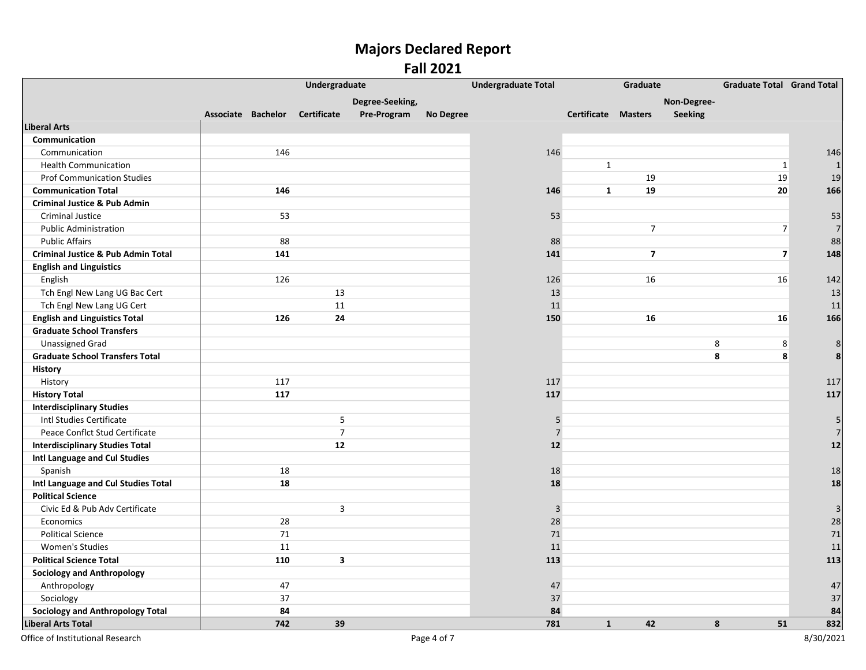#### Fall 2021

|                                               | Undergraduate      |     |                         |                 |                  | <b>Undergraduate Total</b><br>Graduate |                     |                |                | <b>Graduate Total Grand Total</b> |      |
|-----------------------------------------------|--------------------|-----|-------------------------|-----------------|------------------|----------------------------------------|---------------------|----------------|----------------|-----------------------------------|------|
|                                               |                    |     |                         | Degree-Seeking, |                  |                                        |                     |                | Non-Degree-    |                                   |      |
|                                               | Associate Bachelor |     | Certificate             | Pre-Program     | <b>No Degree</b> |                                        | Certificate Masters |                | <b>Seeking</b> |                                   |      |
| <b>Liberal Arts</b>                           |                    |     |                         |                 |                  |                                        |                     |                |                |                                   |      |
| Communication                                 |                    |     |                         |                 |                  |                                        |                     |                |                |                                   |      |
| Communication                                 |                    | 146 |                         |                 |                  | 146                                    |                     |                |                |                                   | 146  |
| <b>Health Communication</b>                   |                    |     |                         |                 |                  |                                        | $\mathbf{1}$        |                |                | $\mathbf{1}$                      |      |
| <b>Prof Communication Studies</b>             |                    |     |                         |                 |                  |                                        |                     | 19             |                | 19                                | 19   |
| <b>Communication Total</b>                    |                    | 146 |                         |                 |                  | 146                                    | $\mathbf{1}$        | 19             |                | 20                                | 166  |
| <b>Criminal Justice &amp; Pub Admin</b>       |                    |     |                         |                 |                  |                                        |                     |                |                |                                   |      |
| <b>Criminal Justice</b>                       |                    | 53  |                         |                 |                  | 53                                     |                     |                |                |                                   | 53   |
| <b>Public Administration</b>                  |                    |     |                         |                 |                  |                                        |                     | $\overline{7}$ |                | $\sqrt{ }$                        |      |
| <b>Public Affairs</b>                         |                    | 88  |                         |                 |                  | 88                                     |                     |                |                |                                   | 88   |
| <b>Criminal Justice &amp; Pub Admin Total</b> |                    | 141 |                         |                 |                  | 141                                    |                     | $\overline{7}$ |                | $\overline{7}$                    | 148  |
| <b>English and Linguistics</b>                |                    |     |                         |                 |                  |                                        |                     |                |                |                                   |      |
| English                                       |                    | 126 |                         |                 |                  | 126                                    |                     | 16             |                | 16                                | 142  |
| Tch Engl New Lang UG Bac Cert                 |                    |     | 13                      |                 |                  | 13                                     |                     |                |                |                                   | 13   |
| Tch Engl New Lang UG Cert                     |                    |     | 11                      |                 |                  | 11                                     |                     |                |                |                                   | 11   |
| <b>English and Linguistics Total</b>          |                    | 126 | 24                      |                 |                  | 150                                    |                     | 16             |                | 16                                | 166  |
| <b>Graduate School Transfers</b>              |                    |     |                         |                 |                  |                                        |                     |                |                |                                   |      |
| <b>Unassigned Grad</b>                        |                    |     |                         |                 |                  |                                        |                     |                | 8              | 8                                 | 8    |
| <b>Graduate School Transfers Total</b>        |                    |     |                         |                 |                  |                                        |                     |                | $\pmb{8}$      | 8                                 | 8    |
| <b>History</b>                                |                    |     |                         |                 |                  |                                        |                     |                |                |                                   |      |
| History                                       |                    | 117 |                         |                 |                  | 117                                    |                     |                |                |                                   | 117  |
| <b>History Total</b>                          |                    | 117 |                         |                 |                  | 117                                    |                     |                |                |                                   | 117  |
| <b>Interdisciplinary Studies</b>              |                    |     |                         |                 |                  |                                        |                     |                |                |                                   |      |
| Intl Studies Certificate                      |                    |     | $\mathsf S$             |                 |                  | 5                                      |                     |                |                |                                   | 5    |
| Peace Conflct Stud Certificate                |                    |     | $\overline{7}$          |                 |                  | $\overline{7}$                         |                     |                |                |                                   |      |
| <b>Interdisciplinary Studies Total</b>        |                    |     | 12                      |                 |                  | 12                                     |                     |                |                |                                   | $12$ |
| Intl Language and Cul Studies                 |                    |     |                         |                 |                  |                                        |                     |                |                |                                   |      |
| Spanish                                       |                    | 18  |                         |                 |                  | 18                                     |                     |                |                |                                   | 18   |
| Intl Language and Cul Studies Total           |                    | 18  |                         |                 |                  | 18                                     |                     |                |                |                                   | 18   |
| <b>Political Science</b>                      |                    |     |                         |                 |                  |                                        |                     |                |                |                                   |      |
| Civic Ed & Pub Adv Certificate                |                    |     | $\overline{\mathbf{3}}$ |                 |                  | 3                                      |                     |                |                |                                   | 3    |
| Economics                                     |                    | 28  |                         |                 |                  | 28                                     |                     |                |                |                                   | 28   |
| <b>Political Science</b>                      |                    | 71  |                         |                 |                  | 71                                     |                     |                |                |                                   | 71   |
| <b>Women's Studies</b>                        |                    | 11  |                         |                 |                  | 11                                     |                     |                |                |                                   | 11   |
| <b>Political Science Total</b>                |                    | 110 | $\mathbf{3}$            |                 |                  | 113                                    |                     |                |                |                                   | 113  |
| <b>Sociology and Anthropology</b>             |                    |     |                         |                 |                  |                                        |                     |                |                |                                   |      |
| Anthropology                                  |                    | 47  |                         |                 |                  | 47                                     |                     |                |                |                                   | 47   |
| Sociology                                     |                    | 37  |                         |                 |                  | 37                                     |                     |                |                |                                   | 37   |
| <b>Sociology and Anthropology Total</b>       |                    | 84  |                         |                 |                  | 84                                     |                     |                |                |                                   | 84   |
| <b>Liberal Arts Total</b>                     |                    | 742 | 39                      |                 |                  | 781                                    | $\mathbf{1}$        | 42             | 8              | 51                                | 832  |

Office of Institutional Research 8/30/2021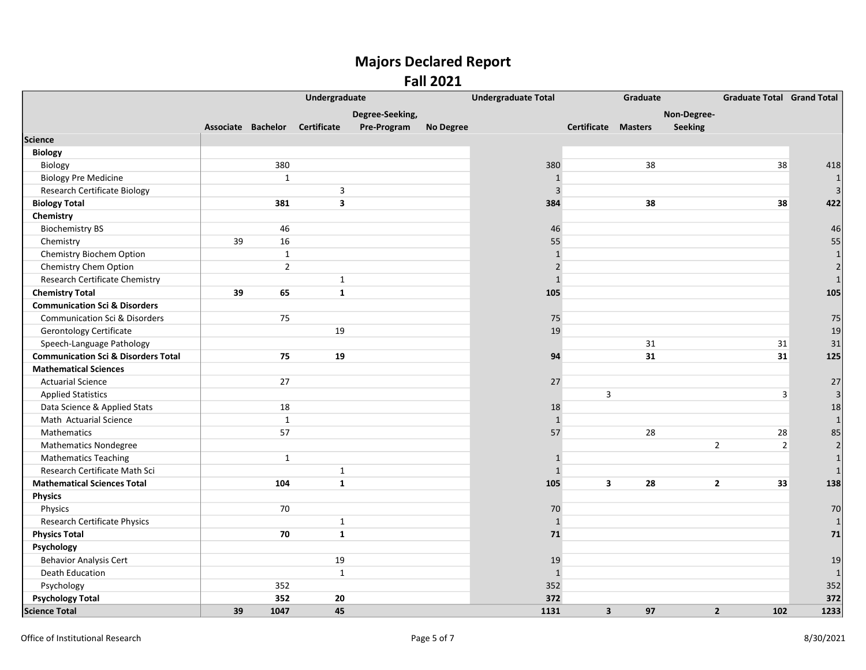|                                                |                    |                | Undergraduate           |                 |                  | <b>Undergraduate Total</b> |                            | Graduate |                | <b>Graduate Total Grand Total</b> |                |
|------------------------------------------------|--------------------|----------------|-------------------------|-----------------|------------------|----------------------------|----------------------------|----------|----------------|-----------------------------------|----------------|
|                                                |                    |                |                         | Degree-Seeking, |                  |                            |                            |          | Non-Degree-    |                                   |                |
|                                                | Associate Bachelor |                | <b>Certificate</b>      | Pre-Program     | <b>No Degree</b> |                            | <b>Certificate Masters</b> |          | <b>Seeking</b> |                                   |                |
| Science                                        |                    |                |                         |                 |                  |                            |                            |          |                |                                   |                |
| <b>Biology</b>                                 |                    |                |                         |                 |                  |                            |                            |          |                |                                   |                |
| Biology                                        |                    | 380            |                         |                 |                  | 380                        |                            | 38       |                | 38                                | 418            |
| <b>Biology Pre Medicine</b>                    |                    | $\mathbf{1}$   |                         |                 |                  | $\mathbf{1}$               |                            |          |                |                                   |                |
| <b>Research Certificate Biology</b>            |                    |                | 3                       |                 |                  | $\overline{3}$             |                            |          |                |                                   |                |
| <b>Biology Total</b>                           |                    | 381            | $\overline{\mathbf{3}}$ |                 |                  | 384                        |                            | 38       |                | 38                                | 422            |
| Chemistry                                      |                    |                |                         |                 |                  |                            |                            |          |                |                                   |                |
| <b>Biochemistry BS</b>                         |                    | 46             |                         |                 |                  | 46                         |                            |          |                |                                   | 46             |
| Chemistry                                      | 39                 | 16             |                         |                 |                  | 55                         |                            |          |                |                                   | 55             |
| Chemistry Biochem Option                       |                    | $\mathbf{1}$   |                         |                 |                  | $\mathbf{1}$               |                            |          |                |                                   | $\mathbf{1}$   |
| Chemistry Chem Option                          |                    | $\overline{2}$ |                         |                 |                  | $\overline{2}$             |                            |          |                |                                   |                |
| Research Certificate Chemistry                 |                    |                | $\mathbf{1}$            |                 |                  | $\mathbf{1}$               |                            |          |                |                                   |                |
| <b>Chemistry Total</b>                         | 39                 | 65             | $\mathbf{1}$            |                 |                  | 105                        |                            |          |                |                                   | 105            |
| <b>Communication Sci &amp; Disorders</b>       |                    |                |                         |                 |                  |                            |                            |          |                |                                   |                |
| <b>Communication Sci &amp; Disorders</b>       |                    | 75             |                         |                 |                  | 75                         |                            |          |                |                                   | 75             |
| <b>Gerontology Certificate</b>                 |                    |                | 19                      |                 |                  | 19                         |                            |          |                |                                   | 19             |
| Speech-Language Pathology                      |                    |                |                         |                 |                  |                            |                            | 31       |                | 31                                | 31             |
| <b>Communication Sci &amp; Disorders Total</b> |                    | 75             | 19                      |                 |                  | 94                         |                            | 31       |                | 31                                | 125            |
| <b>Mathematical Sciences</b>                   |                    |                |                         |                 |                  |                            |                            |          |                |                                   |                |
| <b>Actuarial Science</b>                       |                    | 27             |                         |                 |                  | 27                         |                            |          |                |                                   | 27             |
| <b>Applied Statistics</b>                      |                    |                |                         |                 |                  |                            | 3                          |          |                | 3                                 | 3              |
| Data Science & Applied Stats                   |                    | 18             |                         |                 |                  | 18                         |                            |          |                |                                   | 18             |
| Math Actuarial Science                         |                    | $\mathbf{1}$   |                         |                 |                  | $\mathbf{1}$               |                            |          |                |                                   | $\mathbf{1}$   |
| Mathematics                                    |                    | 57             |                         |                 |                  | 57                         |                            | 28       |                | 28                                | 85             |
| <b>Mathematics Nondegree</b>                   |                    |                |                         |                 |                  |                            |                            |          |                | $\overline{2}$<br>$\overline{2}$  | $\overline{2}$ |
| <b>Mathematics Teaching</b>                    |                    | $\mathbf{1}$   |                         |                 |                  | $\mathbf{1}$               |                            |          |                |                                   | $\mathbf{1}$   |
| Research Certificate Math Sci                  |                    |                | $\mathbf{1}$            |                 |                  | $\mathbf{1}$               |                            |          |                |                                   |                |
| <b>Mathematical Sciences Total</b>             |                    | 104            | $\mathbf{1}$            |                 |                  | 105                        | 3                          | 28       |                | $\mathbf{2}$<br>33                | 138            |
| Physics                                        |                    |                |                         |                 |                  |                            |                            |          |                |                                   |                |
| Physics                                        |                    | 70             |                         |                 |                  | 70                         |                            |          |                |                                   | 70             |
| Research Certificate Physics                   |                    |                | $\mathbf{1}$            |                 |                  | $\mathbf{1}$               |                            |          |                |                                   |                |
| <b>Physics Total</b>                           |                    | 70             | $\mathbf{1}$            |                 |                  | 71                         |                            |          |                |                                   | 71             |
| Psychology                                     |                    |                |                         |                 |                  |                            |                            |          |                |                                   |                |
| <b>Behavior Analysis Cert</b>                  |                    |                | 19                      |                 |                  | 19                         |                            |          |                |                                   | 19             |
| <b>Death Education</b>                         |                    |                | $\mathbf{1}$            |                 |                  | $\mathbf{1}$               |                            |          |                |                                   | 1              |
| Psychology                                     |                    | 352            |                         |                 |                  | 352                        |                            |          |                |                                   | 352            |
| <b>Psychology Total</b>                        |                    | 352            | 20                      |                 |                  | 372                        |                            |          |                |                                   | 372            |
| <b>Science Total</b>                           | 39                 | 1047           | 45                      |                 |                  | 1131                       | $\overline{\mathbf{3}}$    | 97       |                | $\overline{2}$<br>102             | 1233           |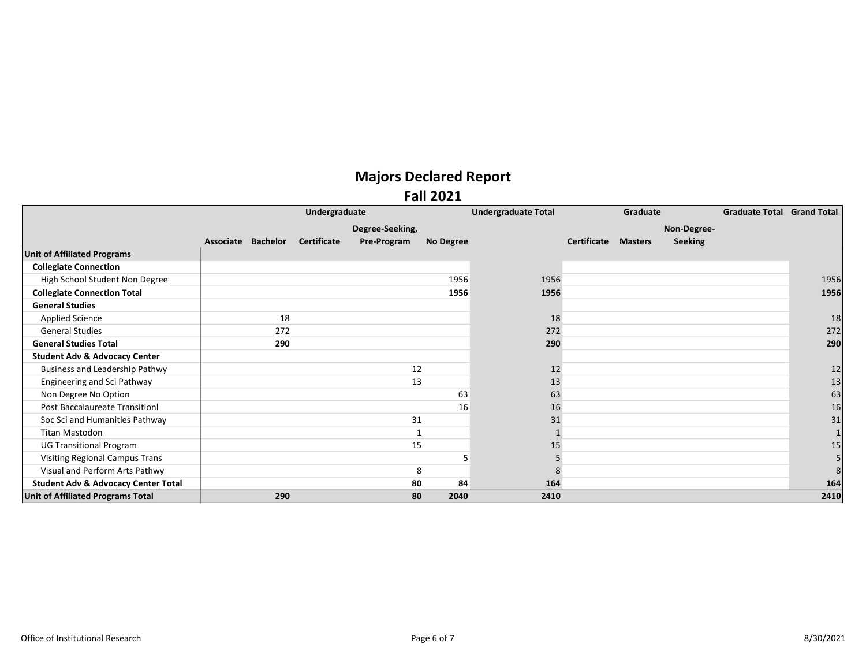#### Fall 2021

|                                                | Undergraduate      |     |                    |                 |                  | <b>Undergraduate Total</b> | Graduate    |                |                | <b>Graduate Total Grand Total</b> |      |
|------------------------------------------------|--------------------|-----|--------------------|-----------------|------------------|----------------------------|-------------|----------------|----------------|-----------------------------------|------|
|                                                |                    |     |                    | Degree-Seeking, |                  |                            |             |                | Non-Degree-    |                                   |      |
|                                                | Associate Bachelor |     | <b>Certificate</b> | Pre-Program     | <b>No Degree</b> |                            | Certificate | <b>Masters</b> | <b>Seeking</b> |                                   |      |
| <b>Unit of Affiliated Programs</b>             |                    |     |                    |                 |                  |                            |             |                |                |                                   |      |
| <b>Collegiate Connection</b>                   |                    |     |                    |                 |                  |                            |             |                |                |                                   |      |
| High School Student Non Degree                 |                    |     |                    |                 | 1956             | 1956                       |             |                |                |                                   | 1956 |
| <b>Collegiate Connection Total</b>             |                    |     |                    |                 | 1956             | 1956                       |             |                |                |                                   | 1956 |
| <b>General Studies</b>                         |                    |     |                    |                 |                  |                            |             |                |                |                                   |      |
| <b>Applied Science</b>                         |                    | 18  |                    |                 |                  | 18                         |             |                |                |                                   | 18   |
| <b>General Studies</b>                         |                    | 272 |                    |                 |                  | 272                        |             |                |                |                                   | 272  |
| <b>General Studies Total</b>                   |                    | 290 |                    |                 |                  | 290                        |             |                |                |                                   | 290  |
| <b>Student Adv &amp; Advocacy Center</b>       |                    |     |                    |                 |                  |                            |             |                |                |                                   |      |
| <b>Business and Leadership Pathwy</b>          |                    |     |                    | 12              |                  | 12                         |             |                |                |                                   | 12   |
| <b>Engineering and Sci Pathway</b>             |                    |     |                    | 13              |                  | 13                         |             |                |                |                                   | 13   |
| Non Degree No Option                           |                    |     |                    |                 | 63               | 63                         |             |                |                |                                   | 63   |
| <b>Post Baccalaureate Transitionl</b>          |                    |     |                    |                 | 16               | 16                         |             |                |                |                                   | 16   |
| Soc Sci and Humanities Pathway                 |                    |     |                    | 31              |                  | 31                         |             |                |                |                                   | 31   |
| <b>Titan Mastodon</b>                          |                    |     |                    |                 |                  |                            |             |                |                |                                   |      |
| <b>UG Transitional Program</b>                 |                    |     |                    | 15              |                  | 15                         |             |                |                |                                   | 15   |
| <b>Visiting Regional Campus Trans</b>          |                    |     |                    |                 |                  | 5                          |             |                |                |                                   |      |
| Visual and Perform Arts Pathwy                 |                    |     |                    |                 | 8                | 8                          |             |                |                |                                   |      |
| <b>Student Adv &amp; Advocacy Center Total</b> |                    |     |                    | 80              | 84               | 164                        |             |                |                |                                   | 164  |
| Unit of Affiliated Programs Total              |                    | 290 |                    | 80              | 2040             | 2410                       |             |                |                |                                   | 2410 |